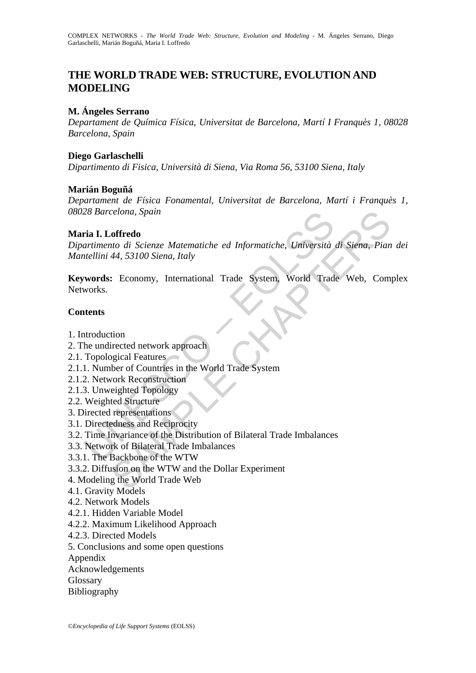# **THE WORLD TRADE WEB: STRUCTURE, EVOLUTION AND MODELING**

### **M. Ángeles Serrano**

*Departament de Química Física, Universitat de Barcelona, Martí I Franquès 1, 08028 Barcelona, Spain* 

#### **Diego Garlaschelli**

*Dipartimento di Fisica, Università di Siena, Via Roma 56, 53100 Siena, Italy* 

### **Marián Boguñá**

*Departament de Física Fonamental, Universitat de Barcelona, Martí i Franquès 1, 08028 Barcelona, Spain*

#### **Maria I. Loffredo**

28 Barcelona, Spam<br>
Tria **I. Loffredo**<br>
artimento di Scienze Matematiche ed Informatiche, Università<br>
ttellini 44, 53100 Siena, Italy<br> **words:** Economy, International Trade System, World Trad<br>
works.<br> **ttents**<br>
artents<br>
tt celona, Spain<br>
soffredo<br>
to di Scienze Matematiche ed Informatiche, Università di Siena, Pian<br>
44, 53100 Siena, Italy<br>
: Economy, International Trade System, World Trade Web, Com<br>
tion<br>
tion<br>
tion<br>
tion<br>
tion<br>
texted Struc *Dipartimento di Scienze Matematiche ed Informatiche, Università di Siena, Pian dei Mantellini 44, 53100 Siena, Italy* 

**Keywords:** Economy, International Trade System, World Trade Web, Complex Networks.

#### **Contents**

- 1. Introduction
- 2. The undirected network approach
- 2.1. Topological Features
- 2.1.1. Number of Countries in the World Trade System
- 2.1.2. Network Reconstruction
- 2.1.3. Unweighted Topology
- 2.2. Weighted Structure
- 3. Directed representations
- 3.1. Directedness and Reciprocity
- 3.2. Time Invariance of the Distribution of Bilateral Trade Imbalances
- 3.3. Network of Bilateral Trade Imbalances
- 3.3.1. The Backbone of the WTW
- 3.3.2. Diffusion on the WTW and the Dollar Experiment
- 4. Modeling the World Trade Web
- 4.1. Gravity Models
- 4.2. Network Models
- 4.2.1. Hidden Variable Model
- 4.2.2. Maximum Likelihood Approach
- 4.2.3. Directed Models
- 5. Conclusions and some open questions
- Appendix
- Acknowledgements
- Glossary
- Bibliography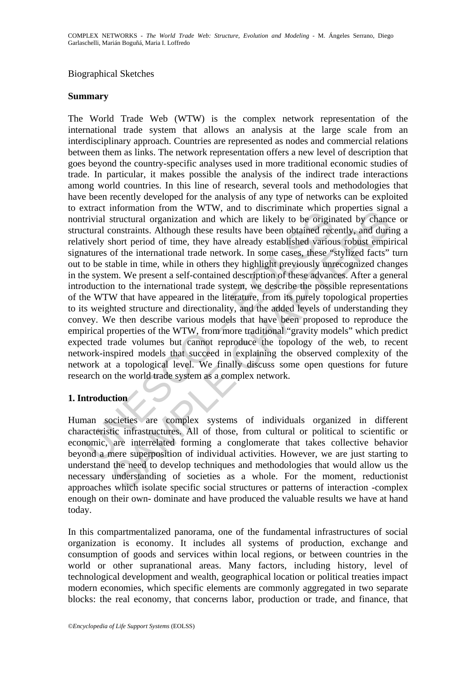#### Biographical Sketches

#### **Summary**

Extract information from the *W*, the inconsisted when the *n* and substitutivial structural organization and which are likely to be origin<br>tural constraints. Although these results have been obtained receively short perio monialation from the wive, and to uscurimmate winch piperials sign<br>intructural organization and which are likely to be originated by chance<br>constraints. Although these results have been obtained recently, and duri<br>hort per The World Trade Web (WTW) is the complex network representation of the international trade system that allows an analysis at the large scale from an interdisciplinary approach. Countries are represented as nodes and commercial relations between them as links. The network representation offers a new level of description that goes beyond the country-specific analyses used in more traditional economic studies of trade. In particular, it makes possible the analysis of the indirect trade interactions among world countries. In this line of research, several tools and methodologies that have been recently developed for the analysis of any type of networks can be exploited to extract information from the WTW, and to discriminate which properties signal a nontrivial structural organization and which are likely to be originated by chance or structural constraints. Although these results have been obtained recently, and during a relatively short period of time, they have already established various robust empirical signatures of the international trade network. In some cases, these "stylized facts" turn out to be stable in time, while in others they highlight previously unrecognized changes in the system. We present a self-contained description of these advances. After a general introduction to the international trade system, we describe the possible representations of the WTW that have appeared in the literature, from its purely topological properties to its weighted structure and directionality, and the added levels of understanding they convey. We then describe various models that have been proposed to reproduce the empirical properties of the WTW, from more traditional "gravity models" which predict expected trade volumes but cannot reproduce the topology of the web, to recent network-inspired models that succeed in explaining the observed complexity of the network at a topological level. We finally discuss some open questions for future research on the world trade system as a complex network.

### **1. Introduction**

Human societies are complex systems of individuals organized in different characteristic infrastructures. All of those, from cultural or political to scientific or economic, are interrelated forming a conglomerate that takes collective behavior beyond a mere superposition of individual activities. However, we are just starting to understand the need to develop techniques and methodologies that would allow us the necessary understanding of societies as a whole. For the moment, reductionist approaches which isolate specific social structures or patterns of interaction -complex enough on their own- dominate and have produced the valuable results we have at hand today.

In this compartmentalized panorama, one of the fundamental infrastructures of social organization is economy. It includes all systems of production, exchange and consumption of goods and services within local regions, or between countries in the world or other supranational areas. Many factors, including history, level of technological development and wealth, geographical location or political treaties impact modern economies, which specific elements are commonly aggregated in two separate blocks: the real economy, that concerns labor, production or trade, and finance, that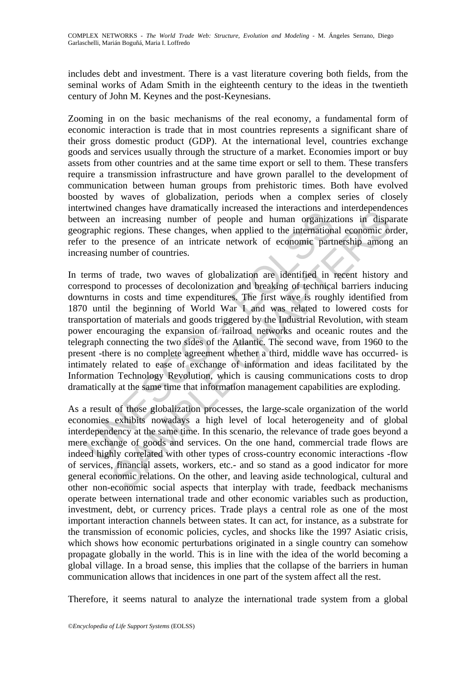includes debt and investment. There is a vast literature covering both fields, from the seminal works of Adam Smith in the eighteenth century to the ideas in the twentieth century of John M. Keynes and the post-Keynesians.

Zooming in on the basic mechanisms of the real economy, a fundamental form of economic interaction is trade that in most countries represents a significant share of their gross domestic product (GDP). At the international level, countries exchange goods and services usually through the structure of a market. Economies import or buy assets from other countries and at the same time export or sell to them. These transfers require a transmission infrastructure and have grown parallel to the development of communication between human groups from prehistoric times. Both have evolved boosted by waves of globalization, periods when a complex series of closely intertwined changes have dramatically increased the interactions and interdependences between an increasing number of people and human organizations in disparate geographic regions. These changes, when applied to the international economic order, refer to the presence of an intricate network of economic partnership among an increasing number of countries.

Extramely many and the methematical methematical methematical methematical methematic methematic readers are internations are applied regions. These changes, when applied to the internations r to the presence of an intrica Examples have transmitted mumchass the interactions and microespinore in increasing number of people and human organizations in dispersions. These changes, when applied to the international economic per regions. These cha In terms of trade, two waves of globalization are identified in recent history and correspond to processes of decolonization and breaking of technical barriers inducing downturns in costs and time expenditures. The first wave is roughly identified from 1870 until the beginning of World War I and was related to lowered costs for transportation of materials and goods triggered by the Industrial Revolution, with steam power encouraging the expansion of railroad networks and oceanic routes and the telegraph connecting the two sides of the Atlantic. The second wave, from 1960 to the present -there is no complete agreement whether a third, middle wave has occurred- is intimately related to ease of exchange of information and ideas facilitated by the Information Technology Revolution, which is causing communications costs to drop dramatically at the same time that information management capabilities are exploding.

As a result of those globalization processes, the large-scale organization of the world economies exhibits nowadays a high level of local heterogeneity and of global interdependency at the same time. In this scenario, the relevance of trade goes beyond a mere exchange of goods and services. On the one hand, commercial trade flows are indeed highly correlated with other types of cross-country economic interactions -flow of services, financial assets, workers, etc.- and so stand as a good indicator for more general economic relations. On the other, and leaving aside technological, cultural and other non-economic social aspects that interplay with trade, feedback mechanisms operate between international trade and other economic variables such as production, investment, debt, or currency prices. Trade plays a central role as one of the most important interaction channels between states. It can act, for instance, as a substrate for the transmission of economic policies, cycles, and shocks like the 1997 Asiatic crisis, which shows how economic perturbations originated in a single country can somehow propagate globally in the world. This is in line with the idea of the world becoming a global village. In a broad sense, this implies that the collapse of the barriers in human communication allows that incidences in one part of the system affect all the rest.

Therefore, it seems natural to analyze the international trade system from a global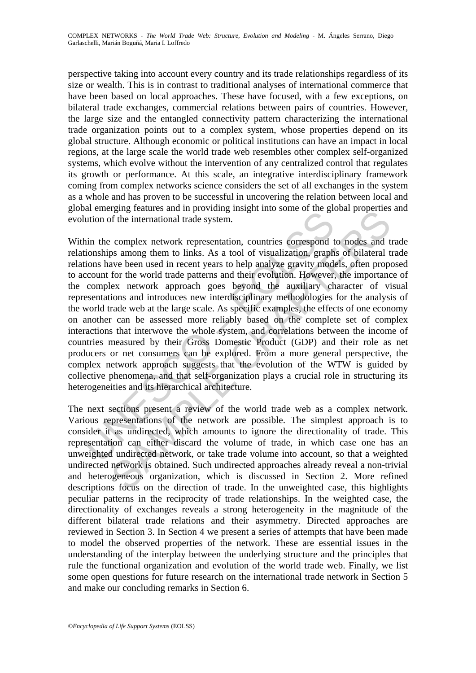perspective taking into account every country and its trade relationships regardless of its size or wealth. This is in contrast to traditional analyses of international commerce that have been based on local approaches. These have focused, with a few exceptions, on bilateral trade exchanges, commercial relations between pairs of countries. However, the large size and the entangled connectivity pattern characterizing the international trade organization points out to a complex system, whose properties depend on its global structure. Although economic or political institutions can have an impact in local regions, at the large scale the world trade web resembles other complex self-organized systems, which evolve without the intervention of any centralized control that regulates its growth or performance. At this scale, an integrative interdisciplinary framework coming from complex networks science considers the set of all exchanges in the system as a whole and has proven to be successful in uncovering the relation between local and global emerging features and in providing insight into some of the global properties and evolution of the international trade system.

and one spend to the internal and the search of the search of the search of the international trade system.<br>
thin the complex network representation, countries correspond to the skettion of the unrelations have been used i gig readures and in proving insignt mito solite of the giobal properties<br>of the international rade system.<br>
complex network representation, countries correspond to nodes and<br>
are complex network representation, countries c Within the complex network representation, countries correspond to nodes and trade relationships among them to links. As a tool of visualization, graphs of bilateral trade relations have been used in recent years to help analyze gravity models, often proposed to account for the world trade patterns and their evolution. However, the importance of the complex network approach goes beyond the auxiliary character of visual representations and introduces new interdisciplinary methodologies for the analysis of the world trade web at the large scale. As specific examples, the effects of one economy on another can be assessed more reliably based on the complete set of complex interactions that interwove the whole system, and correlations between the income of countries measured by their Gross Domestic Product (GDP) and their role as net producers or net consumers can be explored. From a more general perspective, the complex network approach suggests that the evolution of the WTW is guided by collective phenomena, and that self-organization plays a crucial role in structuring its heterogeneities and its hierarchical architecture.

The next sections present a review of the world trade web as a complex network. Various representations of the network are possible. The simplest approach is to consider it as undirected, which amounts to ignore the directionality of trade. This representation can either discard the volume of trade, in which case one has an unweighted undirected network, or take trade volume into account, so that a weighted undirected network is obtained. Such undirected approaches already reveal a non-trivial and heterogeneous organization, which is discussed in Section 2. More refined descriptions focus on the direction of trade. In the unweighted case, this highlights peculiar patterns in the reciprocity of trade relationships. In the weighted case, the directionality of exchanges reveals a strong heterogeneity in the magnitude of the different bilateral trade relations and their asymmetry. Directed approaches are reviewed in Section 3. In Section 4 we present a series of attempts that have been made to model the observed properties of the network. These are essential issues in the understanding of the interplay between the underlying structure and the principles that rule the functional organization and evolution of the world trade web. Finally, we list some open questions for future research on the international trade network in Section 5 and make our concluding remarks in Section 6.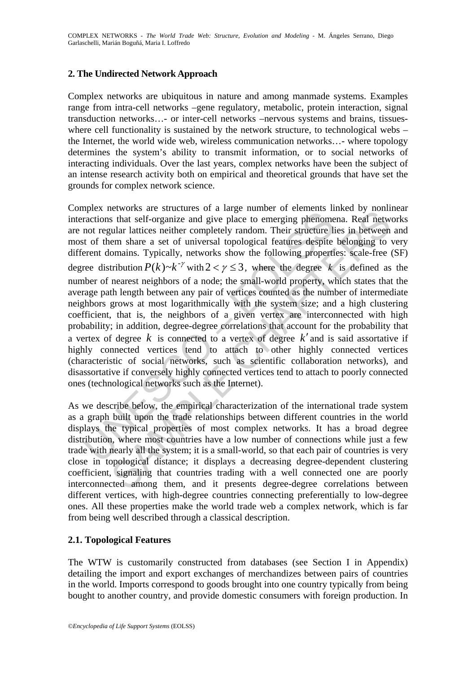# **2. The Undirected Network Approach**

Complex networks are ubiquitous in nature and among manmade systems. Examples range from intra-cell networks –gene regulatory, metabolic, protein interaction, signal transduction networks…- or inter-cell networks –nervous systems and brains, tissueswhere cell functionality is sustained by the network structure, to technological webs – the Internet, the world wide web, wireless communication networks…- where topology determines the system's ability to transmit information, or to social networks of interacting individuals. Over the last years, complex networks have been the subject of an intense research activity both on empirical and theoretical grounds that have set the grounds for complex network science.

shows are stated to a target narrow of the method of the angle mathemolar contents of the signalize and give place to emerging phenoment of regular lattices neither completely random. Their structure list of them share a Everyons are studied to a particular or earlier and and the studied by mominis and studied by a studied that tell-organize and give place to emerging phenomena. Real netween em share a set of universal topological feature Complex networks are structures of a large number of elements linked by nonlinear interactions that self-organize and give place to emerging phenomena. Real networks are not regular lattices neither completely random. Their structure lies in between and most of them share a set of universal topological features despite belonging to very different domains. Typically, networks show the following properties: scale-free (SF) degree distribution  $P(k) \sim k^{-\gamma}$  with  $2 < \gamma \leq 3$ , where the degree k is defined as the number of nearest neighbors of a node; the small-world property, which states that the average path length between any pair of vertices counted as the number of intermediate neighbors grows at most logarithmically with the system size; and a high clustering coefficient, that is, the neighbors of a given vertex are interconnected with high probability; in addition, degree-degree correlations that account for the probability that a vertex of degree *k* is connected to a vertex of degree *k*′ and is said assortative if highly connected vertices tend to attach to other highly connected vertices (characteristic of social networks, such as scientific collaboration networks), and disassortative if conversely highly connected vertices tend to attach to poorly connected ones (technological networks such as the Internet).

As we describe below, the empirical characterization of the international trade system as a graph built upon the trade relationships between different countries in the world displays the typical properties of most complex networks. It has a broad degree distribution, where most countries have a low number of connections while just a few trade with nearly all the system; it is a small-world, so that each pair of countries is very close in topological distance; it displays a decreasing degree-dependent clustering coefficient, signaling that countries trading with a well connected one are poorly interconnected among them, and it presents degree-degree correlations between different vertices, with high-degree countries connecting preferentially to low-degree ones. All these properties make the world trade web a complex network, which is far from being well described through a classical description.

# **2.1. Topological Features**

The WTW is customarily constructed from databases (see Section I in Appendix) detailing the import and export exchanges of merchandizes between pairs of countries in the world. Imports correspond to goods brought into one country typically from being bought to another country, and provide domestic consumers with foreign production. In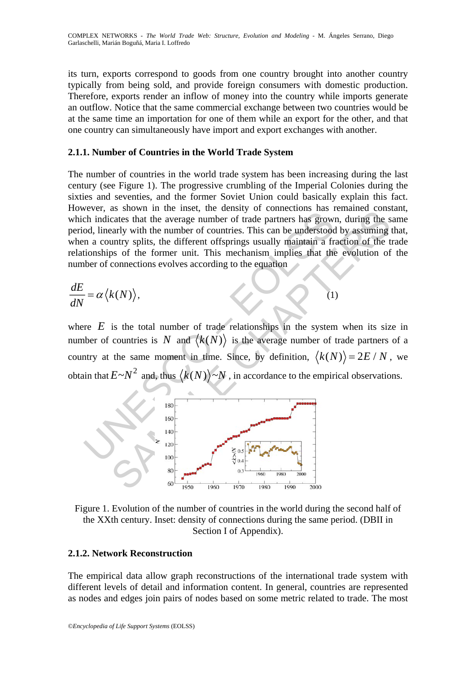its turn, exports correspond to goods from one country brought into another country typically from being sold, and provide foreign consumers with domestic production. Therefore, exports render an inflow of money into the country while imports generate an outflow. Notice that the same commercial exchange between two countries would be at the same time an importation for one of them while an export for the other, and that one country can simultaneously have import and export exchanges with another.

### **2.1.1. Number of Countries in the World Trade System**

The number of countries in the world trade system has been increasing during the last century (see Figure 1). The progressive crumbling of the Imperial Colonies during the sixties and seventies, and the former Soviet Union could basically explain this fact. However, as shown in the inset, the density of connections has remained constant, which indicates that the average number of trade partners has grown, during the same period, linearly with the number of countries. This can be understood by assuming that, when a country splits, the different offsprings usually maintain a fraction of the trade relationships of the former unit. This mechanism implies that the evolution of the number of connections evolves according to the equation

$$
\frac{dE}{dN} = \alpha \langle k(N) \rangle, \tag{1}
$$

where  $E$  is the total number of trade relationships in the system when its size in number of countries is N and  $\langle k(N) \rangle$  is the average number of trade partners of a country at the same moment in time. Since, by definition,  $\langle k(N) \rangle = 2E/N$ , we obtain that  $E \sim N^2$  and, thus  $\langle k(N) \rangle \sim N$ , in accordance to the empirical observations.



Figure 1. Evolution of the number of countries in the world during the second half of the XXth century. Inset: density of connections during the same period. (DBII in Section I of Appendix).

# **2.1.2. Network Reconstruction**

The empirical data allow graph reconstructions of the international trade system with different levels of detail and information content. In general, countries are represented as nodes and edges join pairs of nodes based on some metric related to trade. The most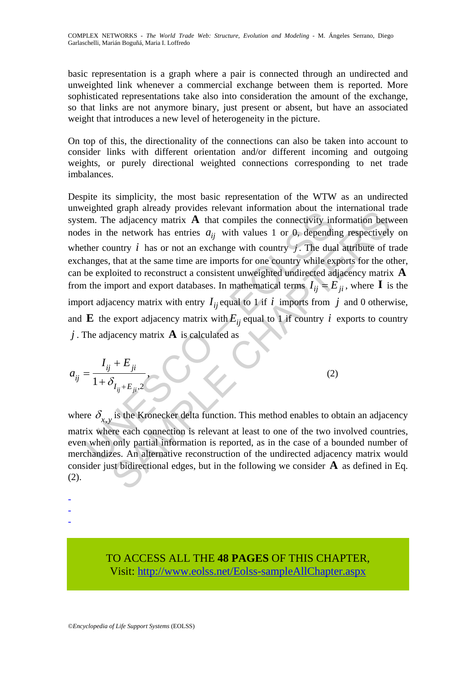COMPLEX NETWORKS - *The World Trade Web: Structure, Evolution and Modeling* - M. Ángeles Serrano, Diego Garlaschelli, Marián Boguñá, Maria I. Loffredo

basic representation is a graph where a pair is connected through an undirected and unweighted link whenever a commercial exchange between them is reported. More sophisticated representations take also into consideration the amount of the exchange, so that links are not anymore binary, just present or absent, but have an associated weight that introduces a new level of heterogeneity in the picture.

On top of this, the directionality of the connections can also be taken into account to consider links with different orientation and/or different incoming and outgoing weights, or purely directional weighted connections corresponding to net trade imbalances.

ergincal graph ancesty provinces become the connectivity in<br>tem. The adjacency matrix **A** that compiles the connectivity in<br>ses in the network has entries  $a_{ij}$  with values 1 or 0, dependin<br>ther country *i* has or not an grap area and international and the connectivity information and energy provinces interactional and energy matrix **A** that compiles the connectivity information between the network has entries  $a_{ij}$  with values 1 or 0, d Despite its simplicity, the most basic representation of the WTW as an undirected unweighted graph already provides relevant information about the international trade system. The adjacency matrix  $\bf{A}$  that compiles the connectivity information between nodes in the network has entries  $a_{ij}$  with values 1 or 0, depending respectively on whether country  $i$  has or not an exchange with country  $j$ . The dual attribute of trade exchanges, that at the same time are imports for one country while exports for the other, can be exploited to reconstruct a consistent unweighted undirected adjacency matrix **A** from the import and export databases. In mathematical terms  $I_{ii} = E_{ii}$ , where **I** is the import adjacency matrix with entry  $I_{ii}$  equal to 1 if *i* imports from *j* and 0 otherwise, and **E** the export adjacency matrix with  $E_{ii}$  equal to 1 if country *i* exports to country *j* . The adjacency matrix **A** is calculated as

$$
a_{ij} = \frac{I_{ij} + E_{ji}}{1 + \delta_{I_{ij} + E_{ji}, 2}}
$$
 (2)

where  $\delta_{x,y}$  is the Kronecker delta function. This method enables to obtain an adjacency matrix where each connection is relevant at least to one of the two involved countries, even when only partial information is reported, as in the case of a bounded number of merchandizes. An alternative reconstruction of the undirected adjacency matrix would consider just bidirectional edges, but in the following we consider **A** as defined in Eq. (2).

-

- -

> TO ACCESS ALL THE **48 PAGES** OF THIS CHAPTER, Visit: [http://www.eolss.net/Eolss-sampleAllChapter.aspx](https://www.eolss.net/ebooklib/sc_cart.aspx?File=E6-200-05)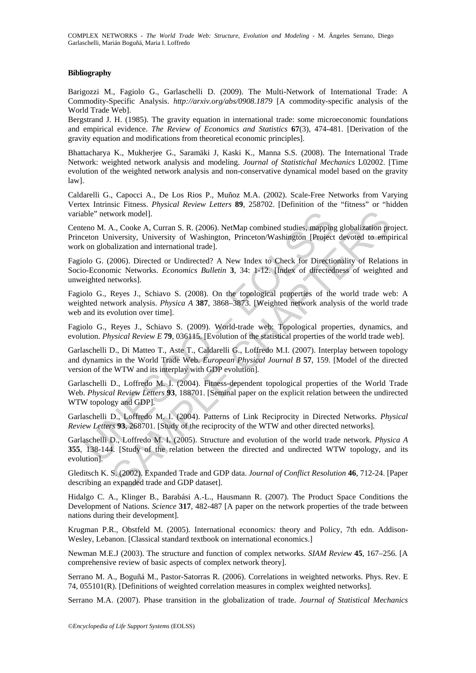COMPLEX NETWORKS - *The World Trade Web: Structure, Evolution and Modeling* - M. Ángeles Serrano, Diego Garlaschelli, Marián Boguñá, Maria I. Loffredo

#### **Bibliography**

Barigozzi M., Fagiolo G., Garlaschelli D. (2009). The Multi-Network of International Trade: A Commodity-Specific Analysis. *http://arxiv.org/abs/0908.1879* [A commodity-specific analysis of the World Trade Web].

Bergstrand J. H. (1985). The gravity equation in international trade: some microeconomic foundations and empirical evidence. *The Review of Economics and Statistics* **67**(3), 474-481. [Derivation of the gravity equation and modifications from theoretical economic principles].

Bhattacharya K., Mukherjee G., Saramäki J, Kaski K., Manna S.S. (2008). The International Trade Network: weighted network analysis and modeling. *Journal of Statistichal Mechanics* L02002. [Time evolution of the weighted network analysis and non-conservative dynamical model based on the gravity law].

Caldarelli G., Capocci A., De Los Rios P., Muñoz M.A. (2002). Scale-Free Networks from Varying Vertex Intrinsic Fitness. *Physical Review Letters* **89**, 258702. [Definition of the "fitness" or "hidden variable" network model].

Centeno M. A., Cooke A, Curran S. R. (2006). NetMap combined studies, mapping globalization project. Princeton University, University of Washington, Princeton/Washington [Project devoted to empirical work on globalization and international trade].

Fagiolo G. (2006). Directed or Undirected? A New Index to Check for Directionality of Relations in Socio-Economic Networks. *Economics Bulletin* **3**, 34: 1-12. [Index of directedness of weighted and unweighted networks].

Fagiolo G., Reyes J., Schiavo S. (2008). On the topological properties of the world trade web: A weighted network analysis. *Physica A* **387**, 3868–3873. [Weighted network analysis of the world trade web and its evolution over time].

Fagiolo G., Reyes J., Schiavo S. (2009). World-trade web: Topological properties, dynamics, and evolution. *Physical Review E* **79**, 036115. [Evolution of the statistical properties of the world trade web].

ble" network model].<br>
eno M. A., Cooke A. Curran S. R. (2006). NetMap combined studies, mapping<br>
ereton University, University of Washington, Princeton/Washington [Project<br>
con globalization and international trade].<br>
blo work model].<br>
A., Cooke A, Curran S. R. (2006). NetMap combined studies, mapping globalization priversity, University of Washington, Princeton/Washington [Project devoted to emploidization and international trade].<br>
2006). Garlaschelli D., Di Matteo T., Aste T., Caldarelli G., Loffredo M.I. (2007). Interplay between topology and dynamics in the World Trade Web. *European Physical Journal B* **57**, 159. [Model of the directed version of the WTW and its interplay with GDP evolution].

Garlaschelli D., Loffredo M. I. (2004). Fitness-dependent topological properties of the World Trade Web. *Physical Review Letters* **93**, 188701. [Seminal paper on the explicit relation between the undirected WTW topology and GDP].

Garlaschelli D., Loffredo M. I. (2004). Patterns of Link Reciprocity in Directed Networks. *Physical Review Letters* **93**, 268701. [Study of the reciprocity of the WTW and other directed networks].

Garlaschelli D., Loffredo M. I. (2005). Structure and evolution of the world trade network. *Physica A* **355**, 138-144. [Study of the relation between the directed and undirected WTW topology, and its evolution].

Gleditsch K. S. (2002). Expanded Trade and GDP data. *Journal of Conflict Resolution* **46**, 712-24. [Paper describing an expanded trade and GDP dataset].

Hidalgo C. A., Klinger B., Barabási A.-L., Hausmann R. (2007). The Product Space Conditions the Development of Nations. *Science* **317**, 482-487 [A paper on the network properties of the trade between nations during their development].

Krugman P.R., Obstfeld M. (2005). International economics: theory and Policy, 7th edn. Addison-Wesley, Lebanon. [Classical standard textbook on international economics.]

Newman M.E.J (2003). The structure and function of complex networks. *SIAM Review* **45**, 167–256. [A comprehensive review of basic aspects of complex network theory].

Serrano M. A., Boguñá M., Pastor-Satorras R. (2006). Correlations in weighted networks. Phys. Rev. E 74, 055101(R). [Definitions of weighted correlation measures in complex weighted networks].

Serrano M.A. (2007). Phase transition in the globalization of trade. *Journal of Statistical Mechanics*